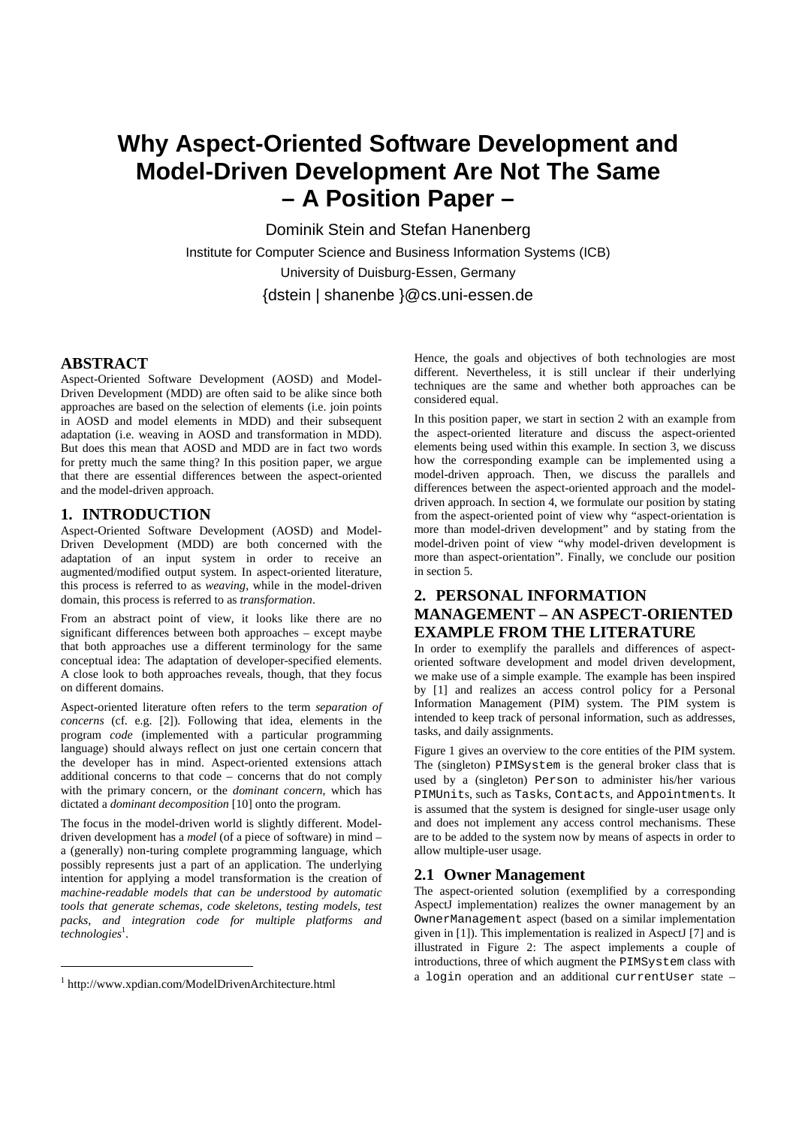# **Why Aspect-Oriented Software Development and Model-Driven Development Are Not The Same – A Position Paper –**

Dominik Stein and Stefan Hanenberg Institute for Computer Science and Business Information Systems (ICB) University of Duisburg-Essen, Germany {dstein | shanenbe }@cs.uni-essen.de

## **ABSTRACT**

Aspect-Oriented Software Development (AOSD) and Model-Driven Development (MDD) are often said to be alike since both approaches are based on the selection of elements (i.e. join points in AOSD and model elements in MDD) and their subsequent adaptation (i.e. weaving in AOSD and transformation in MDD). But does this mean that AOSD and MDD are in fact two words for pretty much the same thing? In this position paper, we argue that there are essential differences between the aspect-oriented and the model-driven approach.

### **1. INTRODUCTION**

Aspect-Oriented Software Development (AOSD) and Model-Driven Development (MDD) are both concerned with the adaptation of an input system in order to receive an augmented/modified output system. In aspect-oriented literature, this process is referred to as *weaving*, while in the model-driven domain, this process is referred to as *transformation*.

From an abstract point of view, it looks like there are no significant differences between both approaches – except maybe that both approaches use a different terminology for the same conceptual idea: The adaptation of developer-specified elements. A close look to both approaches reveals, though, that they focus on different domains.

Aspect-oriented literature often refers to the term *separation of concerns* (cf. e.g. [2]). Following that idea, elements in the program *code* (implemented with a particular programming language) should always reflect on just one certain concern that the developer has in mind. Aspect-oriented extensions attach additional concerns to that code – concerns that do not comply with the primary concern, or the *dominant concern*, which has dictated a *dominant decomposition* [10] onto the program.

The focus in the model-driven world is slightly different. Modeldriven development has a *model* (of a piece of software) in mind – a (generally) non-turing complete programming language, which possibly represents just a part of an application. The underlying intention for applying a model transformation is the creation of *machine-readable models that can be understood by automatic tools that generate schemas, code skeletons, testing models, test packs, and integration code for multiple platforms and* .<br>technologies<sup>1</sup>.

1

Hence, the goals and objectives of both technologies are most different. Nevertheless, it is still unclear if their underlying techniques are the same and whether both approaches can be considered equal.

In this position paper, we start in section 2 with an example from the aspect-oriented literature and discuss the aspect-oriented elements being used within this example. In section  $\overline{3}$ , we discuss how the corresponding example can be implemented using a model-driven approach. Then, we discuss the parallels and differences between the aspect-oriented approach and the modeldriven approach. In section 4, we formulate our position by stating from the aspect-oriented point of view why "aspect-orientation is more than model-driven development" and by stating from the model-driven point of view "why model-driven development is more than aspect-orientation". Finally, we conclude our position in section 5.

# **2. PERSONAL INFORMATION MANAGEMENT – AN ASPECT-ORIENTED EXAMPLE FROM THE LITERATURE**

In order to exemplify the parallels and differences of aspectoriented software development and model driven development, we make use of a simple example. The example has been inspired by [1] and realizes an access control policy for a Personal Information Management (PIM) system. The PIM system is intended to keep track of personal information, such as addresses, tasks, and daily assignments.

Figure 1 gives an overview to the core entities of the PIM system. The (singleton) PIMSystem is the general broker class that is used by a (singleton) Person to administer his/her various PIMUnits, such as Tasks, Contacts, and Appointments. It is assumed that the system is designed for single-user usage only and does not implement any access control mechanisms. These are to be added to the system now by means of aspects in order to allow multiple-user usage.

### **2.1 Owner Management**

The aspect-oriented solution (exemplified by a corresponding AspectJ implementation) realizes the owner management by an OwnerManagement aspect (based on a similar implementation given in [1]). This implementation is realized in AspectJ [7] and is illustrated in Figure 2: The aspect implements a couple of introductions, three of which augment the PIMSystem class with a login operation and an additional currentUser state –

<sup>1</sup> http://www.xpdian.com/ModelDrivenArchitecture.html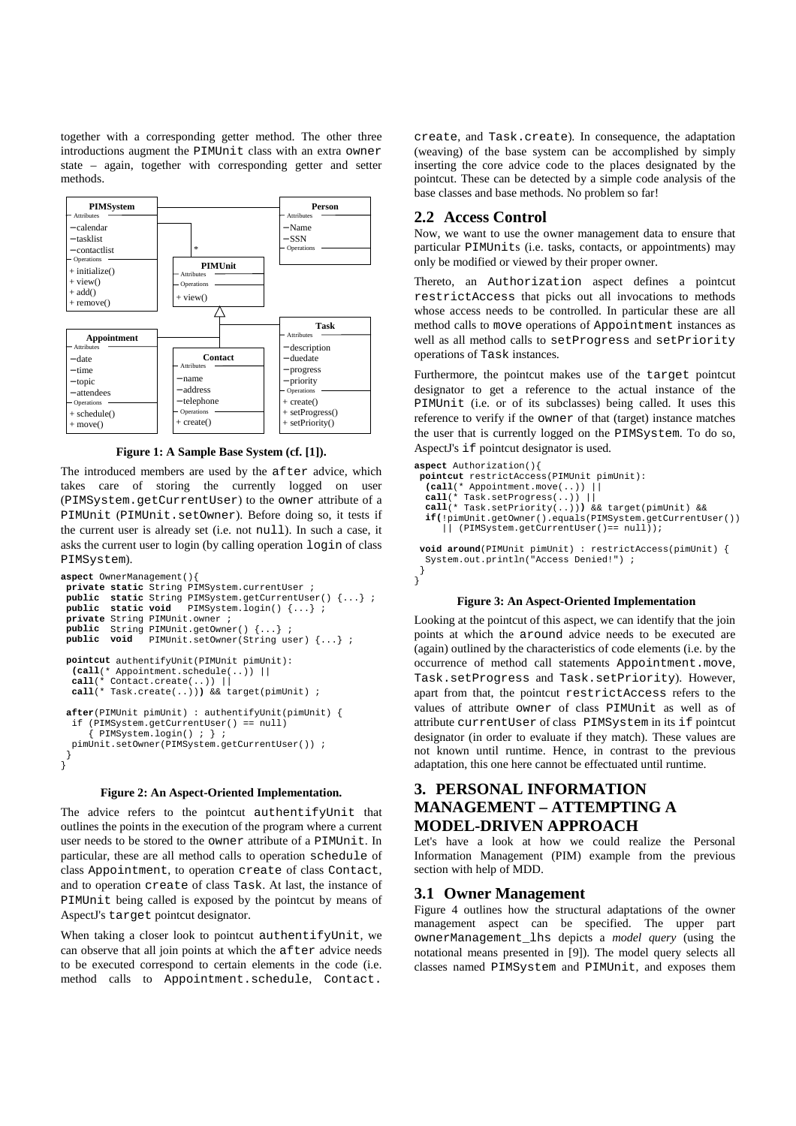together with a corresponding getter method. The other three introductions augment the PIMUnit class with an extra owner state – again, together with corresponding getter and setter methods.



**Figure 1: A Sample Base System (cf. [1]).**

The introduced members are used by the after advice, which takes care of storing the currently logged on user (PIMSystem.getCurrentUser) to the owner attribute of a PIMUnit (PIMUnit.setOwner). Before doing so, it tests if the current user is already set (i.e. not null). In such a case, it asks the current user to login (by calling operation login of class PIMSystem).

```
aspect OwnerManagement(){ 
 private static String PIMSystem.currentUser ; 
 public static String PIMSystem.getCurrentUser() \{... \};<br>public static void PIMSystem.login() \{... \};
                           PIMSystem.login() \{ \ldots \};
 private String PIMUnit.owner ; 
 public String PIMUnit.getOwner() \{... \};<br>public void PIMUnit.setOwner(String us
                  PIMUnit.setOwner(String user) {...} ;
 pointcut authentifyUnit(PIMUnit pimUnit): 
   (call(* Appointment.schedule(..)) || 
   call(* Contact.create(..)) || 
   call(* Task.create(..))) && target(pimUnit) ; 
 after(PIMUnit pimUnit) : authentifyUnit(pimUnit) { 
   if (PIMSystem.getCurrentUser() == null) 
        { PIMSystem.login() ; } ; 
   pimUnit.setOwner(PIMSystem.getCurrentUser()) ; 
  } 
}
```
#### **Figure 2: An Aspect-Oriented Implementation.**

The advice refers to the pointcut authentifyUnit that outlines the points in the execution of the program where a current user needs to be stored to the owner attribute of a PIMUnit. In particular, these are all method calls to operation schedule of class Appointment, to operation create of class Contact, and to operation create of class Task. At last, the instance of PIMUnit being called is exposed by the pointcut by means of AspectJ's target pointcut designator.

When taking a closer look to pointcut authentifyUnit, we can observe that all join points at which the after advice needs to be executed correspond to certain elements in the code (i.e. method calls to Appointment.schedule, Contact.

create, and Task.create). In consequence, the adaptation (weaving) of the base system can be accomplished by simply inserting the core advice code to the places designated by the pointcut. These can be detected by a simple code analysis of the base classes and base methods. No problem so far!

### **2.2 Access Control**

Now, we want to use the owner management data to ensure that particular PIMUnits (i.e. tasks, contacts, or appointments) may only be modified or viewed by their proper owner.

Thereto, an Authorization aspect defines a pointcut restrictAccess that picks out all invocations to methods whose access needs to be controlled. In particular these are all method calls to move operations of Appointment instances as well as all method calls to setProgress and setPriority operations of Task instances.

Furthermore, the pointcut makes use of the target pointcut designator to get a reference to the actual instance of the PIMUnit (i.e. or of its subclasses) being called. It uses this reference to verify if the owner of that (target) instance matches the user that is currently logged on the PIMSystem. To do so, AspectJ's if pointcut designator is used.

```
aspect Authorization(){ 
pointcut restrictAccess(PIMUnit pimUnit): 
   (call(* Appointment.move(..)) || 
   call(* Task.setProgress(..)) || 
   call(* Task.setPriority(..))) && target(pimUnit) && 
   if(!pimUnit.getOwner().equals(PIMSystem.getCurrentUser()) 
       || (PIMSystem.getCurrentUser()== null)); 
void around(PIMUnit pimUnit) : restrictAccess(pimUnit) { 
 System.out.println("Access Denied!") ; 
 } 
}
```
#### **Figure 3: An Aspect-Oriented Implementation**

Looking at the pointcut of this aspect, we can identify that the join points at which the around advice needs to be executed are (again) outlined by the characteristics of code elements (i.e. by the occurrence of method call statements Appointment.move, Task.setProgress and Task.setPriority). However, apart from that, the pointcut restrictAccess refers to the values of attribute owner of class PIMUnit as well as of attribute currentUser of class PIMSystem in its if pointcut designator (in order to evaluate if they match). These values are not known until runtime. Hence, in contrast to the previous adaptation, this one here cannot be effectuated until runtime.

# **3. PERSONAL INFORMATION MANAGEMENT – ATTEMPTING A MODEL-DRIVEN APPROACH**

Let's have a look at how we could realize the Personal Information Management (PIM) example from the previous section with help of MDD.

#### **3.1 Owner Management**

Figure 4 outlines how the structural adaptations of the owner management aspect can be specified. The upper part ownerManagement\_lhs depicts a *model query* (using the notational means presented in [9]). The model query selects all classes named PIMSystem and PIMUnit, and exposes them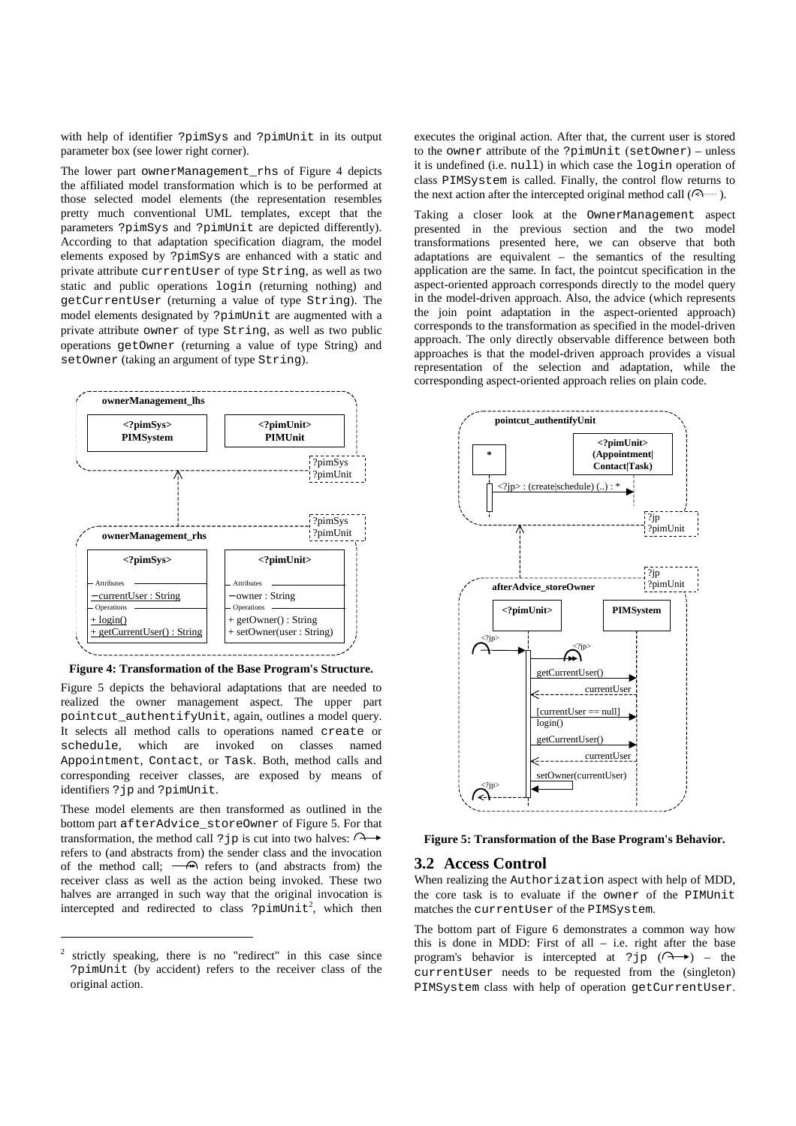with help of identifier ?pimSys and ?pimUnit in its output parameter box (see lower right corner).

The lower part ownerManagement\_rhs of Figure 4 depicts the affiliated model transformation which is to be performed at those selected model elements (the representation resembles pretty much conventional UML templates, except that the parameters ?pimSys and ?pimUnit are depicted differently). According to that adaptation specification diagram, the model elements exposed by ?pimSys are enhanced with a static and private attribute currentUser of type String, as well as two static and public operations login (returning nothing) and getCurrentUser (returning a value of type String). The model elements designated by ?pimUnit are augmented with a private attribute owner of type String, as well as two public operations getOwner (returning a value of type String) and setOwner (taking an argument of type String).



**Figure 4: Transformation of the Base Program's Structure.**

Figure 5 depicts the behavioral adaptations that are needed to realized the owner management aspect. The upper part pointcut\_authentifyUnit, again, outlines a model query. It selects all method calls to operations named create or schedule, which are invoked on classes named Appointment, Contact, or Task. Both, method calls and corresponding receiver classes, are exposed by means of identifiers ?jp and ?pimUnit.

These model elements are then transformed as outlined in the bottom part afterAdvice\_storeOwner of Figure 5. For that transformation, the method call ? jp is cut into two halves:  $\rightarrow$ refers to (and abstracts from) the sender class and the invocation of the method call;  $\longrightarrow$  refers to (and abstracts from) the receiver class as well as the action being invoked. These two halves are arranged in such way that the original invocation is intercepted and redirected to class ? $p\text{imUnit}^2$ , which then

1

executes the original action. After that, the current user is stored to the owner attribute of the ?pimUnit (setOwner) – unless it is undefined (i.e. null) in which case the login operation of class PIMSystem is called. Finally, the control flow returns to the next action after the intercepted original method call  $($ 

Taking a closer look at the OwnerManagement aspect presented in the previous section and the two model transformations presented here, we can observe that both adaptations are equivalent – the semantics of the resulting application are the same. In fact, the pointcut specification in the aspect-oriented approach corresponds directly to the model query in the model-driven approach. Also, the advice (which represents the join point adaptation in the aspect-oriented approach) corresponds to the transformation as specified in the model-driven approach. The only directly observable difference between both approaches is that the model-driven approach provides a visual representation of the selection and adaptation, while the corresponding aspect-oriented approach relies on plain code.



**Figure 5: Transformation of the Base Program's Behavior.**

### **3.2 Access Control**

When realizing the Authorization aspect with help of MDD, the core task is to evaluate if the owner of the PIMUnit matches the currentUser of the PIMSystem.

The bottom part of Figure 6 demonstrates a common way how this is done in MDD: First of all  $-$  i.e. right after the base program's behavior is intercepted at ? jp  $($  $\rightarrow$   $)$  – the currentUser needs to be requested from the (singleton) PIMSystem class with help of operation getCurrentUser.

<sup>&</sup>lt;sup>2</sup> strictly speaking, there is no "redirect" in this case since ?pimUnit (by accident) refers to the receiver class of the original action.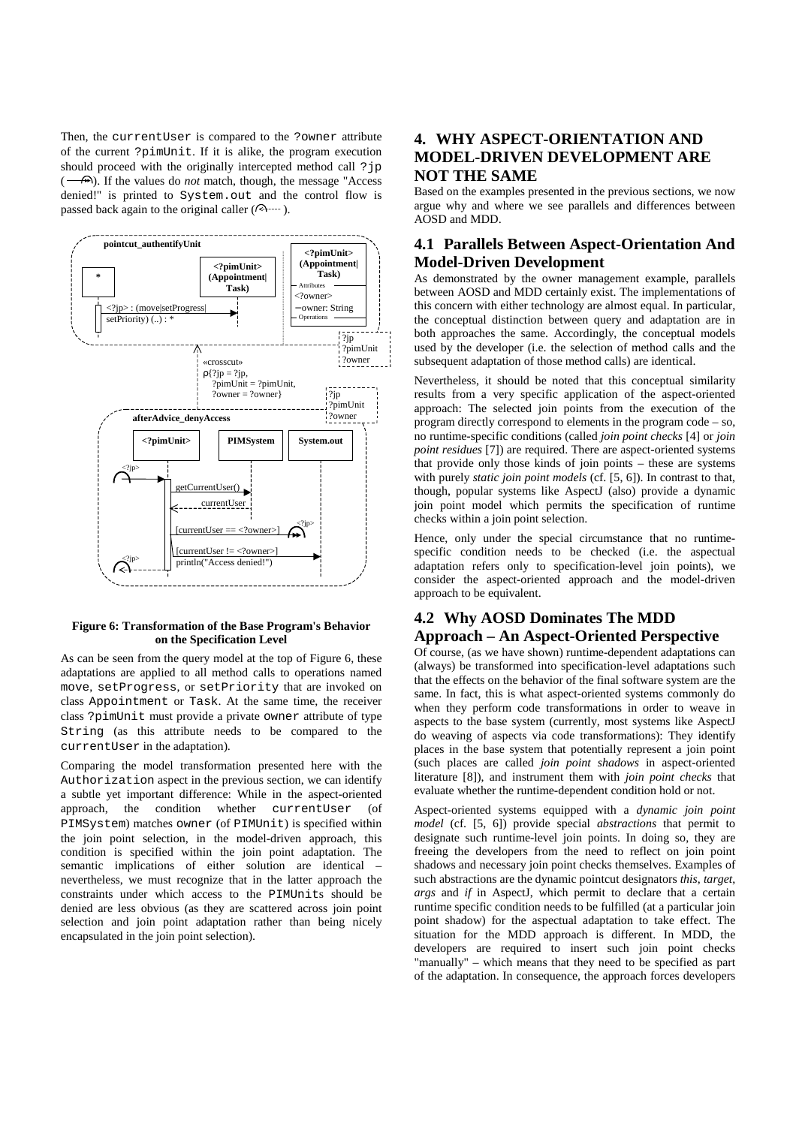Then, the currentUser is compared to the ?owner attribute of the current ?pimUnit. If it is alike, the program execution should proceed with the originally intercepted method call ?jp  $(-\rightarrow)$ . If the values do *not* match, though, the message "Access" denied!" is printed to System.out and the control flow is passed back again to the original caller  $($ 



#### **Figure 6: Transformation of the Base Program's Behavior on the Specification Level**

As can be seen from the query model at the top of Figure 6, these adaptations are applied to all method calls to operations named move, setProgress, or setPriority that are invoked on class Appointment or Task. At the same time, the receiver class ?pimUnit must provide a private owner attribute of type String (as this attribute needs to be compared to the currentUser in the adaptation).

Comparing the model transformation presented here with the Authorization aspect in the previous section, we can identify a subtle yet important difference: While in the aspect-oriented approach, the condition whether currentUser (of PIMSystem) matches owner (of PIMUnit) is specified within the join point selection, in the model-driven approach, this condition is specified within the join point adaptation. The semantic implications of either solution are identical – nevertheless, we must recognize that in the latter approach the constraints under which access to the PIMUnits should be denied are less obvious (as they are scattered across join point selection and join point adaptation rather than being nicely encapsulated in the join point selection).

# **4. WHY ASPECT-ORIENTATION AND MODEL-DRIVEN DEVELOPMENT ARE NOT THE SAME**

Based on the examples presented in the previous sections, we now argue why and where we see parallels and differences between AOSD and MDD.

# **4.1 Parallels Between Aspect-Orientation And Model-Driven Development**

As demonstrated by the owner management example, parallels between AOSD and MDD certainly exist. The implementations of this concern with either technology are almost equal. In particular, the conceptual distinction between query and adaptation are in both approaches the same. Accordingly, the conceptual models used by the developer (i.e. the selection of method calls and the subsequent adaptation of those method calls) are identical.

Nevertheless, it should be noted that this conceptual similarity results from a very specific application of the aspect-oriented approach: The selected join points from the execution of the program directly correspond to elements in the program code – so, no runtime-specific conditions (called *join point checks* [4] or *join point residues* [7]) are required. There are aspect-oriented systems that provide only those kinds of join points – these are systems with purely *static join point models* (cf. [5, 6]). In contrast to that, though, popular systems like AspectJ (also) provide a dynamic join point model which permits the specification of runtime checks within a join point selection.

Hence, only under the special circumstance that no runtimespecific condition needs to be checked (i.e. the aspectual adaptation refers only to specification-level join points), we consider the aspect-oriented approach and the model-driven approach to be equivalent.

# **4.2 Why AOSD Dominates The MDD Approach – An Aspect-Oriented Perspective**

Of course, (as we have shown) runtime-dependent adaptations can (always) be transformed into specification-level adaptations such that the effects on the behavior of the final software system are the same. In fact, this is what aspect-oriented systems commonly do when they perform code transformations in order to weave in aspects to the base system (currently, most systems like AspectJ do weaving of aspects via code transformations): They identify places in the base system that potentially represent a join point (such places are called *join point shadows* in aspect-oriented literature [8]), and instrument them with *join point checks* that evaluate whether the runtime-dependent condition hold or not.

Aspect-oriented systems equipped with a *dynamic join point model* (cf. [5, 6]) provide special *abstractions* that permit to designate such runtime-level join points. In doing so, they are freeing the developers from the need to reflect on join point shadows and necessary join point checks themselves. Examples of such abstractions are the dynamic pointcut designators *this*, *target*, *args* and *if* in AspectJ, which permit to declare that a certain runtime specific condition needs to be fulfilled (at a particular join point shadow) for the aspectual adaptation to take effect. The situation for the MDD approach is different. In MDD, the developers are required to insert such join point checks "manually" – which means that they need to be specified as part of the adaptation. In consequence, the approach forces developers